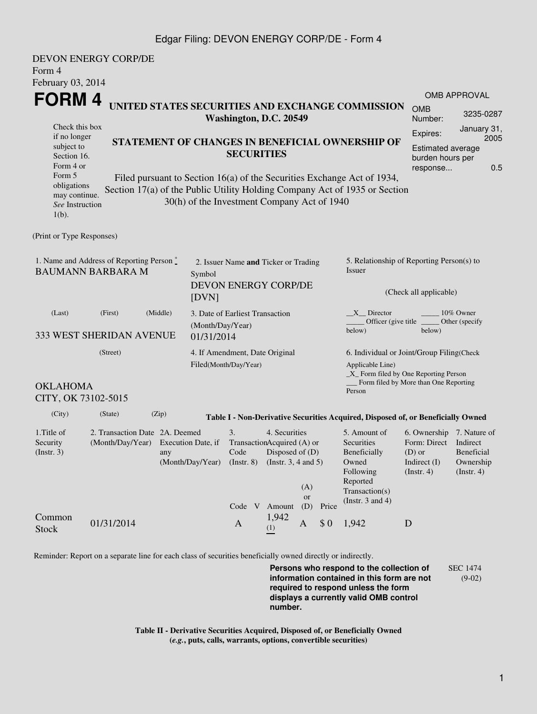## Edgar Filing: DEVON ENERGY CORP/DE - Form 4

| DEVON ENERGY CORP/DE<br>Form 4<br>February 03, 2014                                                                                                                                                                                   |                                                                       |       |                                                         |                                                                                              |                                           |                  |                                                                                                           |                                                                                                                         |                                                                                                 |                                        |  |  |
|---------------------------------------------------------------------------------------------------------------------------------------------------------------------------------------------------------------------------------------|-----------------------------------------------------------------------|-------|---------------------------------------------------------|----------------------------------------------------------------------------------------------|-------------------------------------------|------------------|-----------------------------------------------------------------------------------------------------------|-------------------------------------------------------------------------------------------------------------------------|-------------------------------------------------------------------------------------------------|----------------------------------------|--|--|
| FORM 4                                                                                                                                                                                                                                |                                                                       |       |                                                         |                                                                                              |                                           |                  |                                                                                                           |                                                                                                                         |                                                                                                 | <b>OMB APPROVAL</b>                    |  |  |
| UNITED STATES SECURITIES AND EXCHANGE COMMISSION<br>Washington, D.C. 20549                                                                                                                                                            |                                                                       |       |                                                         |                                                                                              |                                           |                  |                                                                                                           | <b>OMB</b><br>Number:                                                                                                   | 3235-0287                                                                                       |                                        |  |  |
| Check this box<br>if no longer<br>STATEMENT OF CHANGES IN BENEFICIAL OWNERSHIP OF<br>subject to<br><b>SECURITIES</b><br>Section 16.<br>Form 4 or<br>Form 5<br>Filed pursuant to Section 16(a) of the Securities Exchange Act of 1934, |                                                                       |       |                                                         |                                                                                              |                                           |                  | January 31,<br>Expires:<br>2005<br><b>Estimated average</b><br>burden hours per<br>0.5<br>response        |                                                                                                                         |                                                                                                 |                                        |  |  |
| obligations<br>may continue.<br>See Instruction<br>$1(b)$ .                                                                                                                                                                           |                                                                       |       | 30(h) of the Investment Company Act of 1940             |                                                                                              |                                           |                  |                                                                                                           | Section 17(a) of the Public Utility Holding Company Act of 1935 or Section                                              |                                                                                                 |                                        |  |  |
| (Print or Type Responses)                                                                                                                                                                                                             |                                                                       |       |                                                         |                                                                                              |                                           |                  |                                                                                                           |                                                                                                                         |                                                                                                 |                                        |  |  |
| 1. Name and Address of Reporting Person *<br><b>BAUMANN BARBARA M</b><br>Symbol<br>[DVN]                                                                                                                                              |                                                                       |       |                                                         | 2. Issuer Name and Ticker or Trading<br>DEVON ENERGY CORP/DE                                 |                                           |                  |                                                                                                           | 5. Relationship of Reporting Person(s) to<br>Issuer<br>(Check all applicable)                                           |                                                                                                 |                                        |  |  |
| (Last)<br>(First)<br>(Middle)<br>333 WEST SHERIDAN AVENUE                                                                                                                                                                             |                                                                       |       |                                                         | 3. Date of Earliest Transaction<br>(Month/Day/Year)<br>01/31/2014                            |                                           |                  |                                                                                                           | $X$ Director<br>below)                                                                                                  | 10% Owner<br>Officer (give title _______ Other (specify<br>below)                               |                                        |  |  |
| (Street)                                                                                                                                                                                                                              |                                                                       |       | 4. If Amendment, Date Original<br>Filed(Month/Day/Year) |                                                                                              |                                           |                  | 6. Individual or Joint/Group Filing(Check<br>Applicable Line)<br>$\_X$ Form filed by One Reporting Person |                                                                                                                         |                                                                                                 |                                        |  |  |
| <b>OKLAHOMA</b><br>CITY, OK 73102-5015                                                                                                                                                                                                |                                                                       |       |                                                         |                                                                                              |                                           |                  |                                                                                                           | Person                                                                                                                  | Form filed by More than One Reporting                                                           |                                        |  |  |
| (City)                                                                                                                                                                                                                                | (State)                                                               | (Zip) |                                                         |                                                                                              |                                           |                  |                                                                                                           | Table I - Non-Derivative Securities Acquired, Disposed of, or Beneficially Owned                                        |                                                                                                 |                                        |  |  |
| 1. Title of<br>Security<br>(Insert. 3)                                                                                                                                                                                                | 2. Transaction Date 2A. Deemed<br>(Month/Day/Year) Execution Date, if | any   | (Month/Day/Year)                                        | 3.<br>TransactionAcquired (A) or<br>Code Disposed of (D)<br>$($ Instr. $8)$<br>Code V Amount | 4. Securities<br>(Instr. $3, 4$ and $5$ ) | (A)<br>or<br>(D) | Price                                                                                                     | 5. Amount of<br>Securities<br>Beneficially<br>Owned<br>Following<br>Reported<br>Transaction(s)<br>(Instr. $3$ and $4$ ) | 6. Ownership 7. Nature of<br>Form: Direct Indirect<br>$(D)$ or<br>Indirect $(I)$<br>(Insert. 4) | Beneficial<br>Ownership<br>(Insert. 4) |  |  |
| Common<br><b>Stock</b>                                                                                                                                                                                                                | 01/31/2014                                                            |       |                                                         | $\mathbf{A}$                                                                                 | 1,942<br>(1)                              | A                | \$0                                                                                                       | 1,942                                                                                                                   | D                                                                                               |                                        |  |  |

Reminder: Report on a separate line for each class of securities beneficially owned directly or indirectly.

**Persons who respond to the collection of information contained in this form are not required to respond unless the form displays a currently valid OMB control number.** SEC 1474 (9-02)

**Table II - Derivative Securities Acquired, Disposed of, or Beneficially Owned (***e.g.***, puts, calls, warrants, options, convertible securities)**